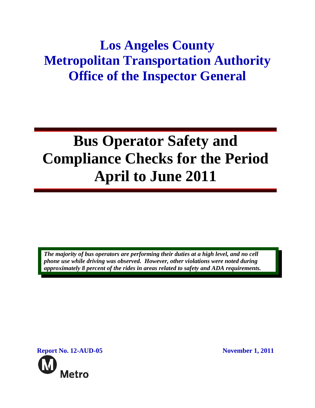## **Los Angeles County Metropolitan Transportation Authority Office of the Inspector General**

# **Bus Operator Safety and Compliance Checks for the Period April to June 2011**

*The majority of bus operators are performing their duties at a high level, and no cell phone use while driving was observed. However, other violations were noted during approximately 8 percent of the rides in areas related to safety and ADA requirements.* 

**Report No. 12-AUD-05 November 1, 2011 Metro**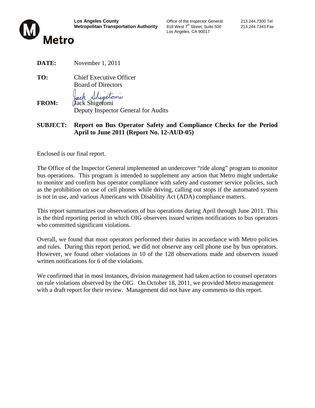

**Los Angeles County Connect County** Coffice of the Inspector General 213.244.7300 Tel<br> **Metropolitan Transportation Authority** 818 West 7<sup>th</sup> Street, Suite 500 213.244.7343 Fax **Metropolitan Transportation Authority** 818 West 7<sup>th</sup> Street, Suite 500 213.244.7343 Fax

Los Angeles, CA 90017

**DATE:** November 1, 2011

**TO:** Chief Executive Officer Board of Directors

ack Shigetoni

**FROM:** Jack Shigetomi Deputy Inspector General for Audits

**SUBJECT: Report on Bus Operator Safety and Compliance Checks for the Period April to June 2011 (Report No. 12-AUD-05)**

Enclosed is our final report.

The Office of the Inspector General implemented an undercover "ride along" program to monitor bus operations. This program is intended to supplement any action that Metro might undertake to monitor and confirm bus operator compliance with safety and customer service policies, such as the prohibition on use of cell phones while driving, calling out stops if the automated system is not in use, and various Americans with Disability Act (ADA) compliance matters.

This report summarizes our observations of bus operations during April through June 2011. This is the third reporting period in which OIG observers issued written notifications to bus operators who committed significant violations.

Overall, we found that most operators performed their duties in accordance with Metro policies and rules. During this report period, we did not observe any cell phone use by bus operators. However, we found other violations in 10 of the 128 observations made and observers issued written notifications for 6 of the violations.

We confirmed that in most instances, division management had taken action to counsel operators on rule violations observed by the OIG. On October 18, 2011, we provided Metro management with a draft report for their review. Management did not have any comments to this report.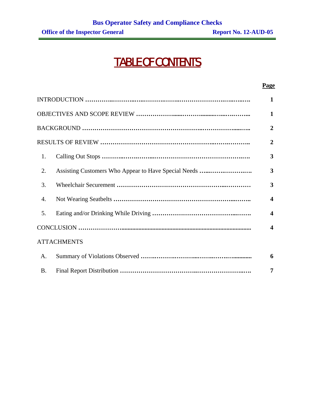## TABLE OF CONTENTS

|           |                                                      | 1                       |  |
|-----------|------------------------------------------------------|-------------------------|--|
|           |                                                      | 1                       |  |
|           |                                                      | 2                       |  |
|           |                                                      |                         |  |
| 1.        |                                                      | 3                       |  |
| 2.        | Assisting Customers Who Appear to Have Special Needs | 3                       |  |
| 3.        |                                                      | 3                       |  |
| 4.        |                                                      | $\overline{\mathbf{4}}$ |  |
| 5.        |                                                      | $\overline{\mathbf{4}}$ |  |
|           |                                                      | $\overline{\mathbf{4}}$ |  |
|           | <b>ATTACHMENTS</b>                                   |                         |  |
| A.        |                                                      | 6                       |  |
| <b>B.</b> |                                                      | 7                       |  |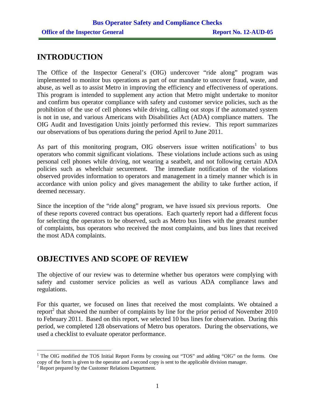## **INTRODUCTION**

The Office of the Inspector General's (OIG) undercover "ride along" program was implemented to monitor bus operations as part of our mandate to uncover fraud, waste, and abuse, as well as to assist Metro in improving the efficiency and effectiveness of operations. This program is intended to supplement any action that Metro might undertake to monitor and confirm bus operator compliance with safety and customer service policies, such as the prohibition of the use of cell phones while driving, calling out stops if the automated system is not in use, and various Americans with Disabilities Act (ADA) compliance matters. The OIG Audit and Investigation Units jointly performed this review. This report summarizes our observations of bus operations during the period April to June 2011.

As part of this monitoring program, OIG observers issue written notifications<sup>1</sup> to bus operators who commit significant violations. These violations include actions such as using personal cell phones while driving, not wearing a seatbelt, and not following certain ADA policies such as wheelchair securement. The immediate notification of the violations observed provides information to operators and management in a timely manner which is in accordance with union policy and gives management the ability to take further action, if deemed necessary.

Since the inception of the "ride along" program, we have issued six previous reports. One of these reports covered contract bus operations. Each quarterly report had a different focus for selecting the operators to be observed, such as Metro bus lines with the greatest number of complaints, bus operators who received the most complaints, and bus lines that received the most ADA complaints.

## **OBJECTIVES AND SCOPE OF REVIEW**

The objective of our review was to determine whether bus operators were complying with safety and customer service policies as well as various ADA compliance laws and regulations.

For this quarter, we focused on lines that received the most complaints. We obtained a report<sup>2</sup> that showed the number of complaints by line for the prior period of November 2010 to February 2011. Based on this report, we selected 10 bus lines for observation. During this period, we completed 128 observations of Metro bus operators. During the observations, we used a checklist to evaluate operator performance.

<sup>&</sup>lt;sup>1</sup> The OIG modified the TOS Initial Report Forms by crossing out "TOS" and adding "OIG" on the forms. One copy of the form is given to the operator and a second copy is sent to the applicable division manager.

<sup>&</sup>lt;sup>2</sup> Report prepared by the Customer Relations Department.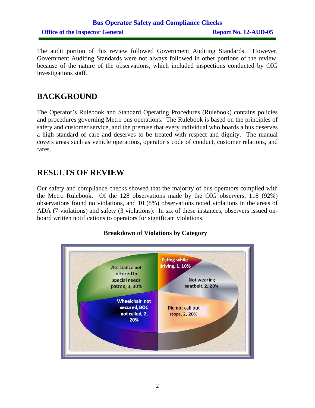## **Bus Operator Safety and Compliance Checks Office of the Inspector General Report No. 12-AUD-05**

The audit portion of this review followed Government Auditing Standards. However, Government Auditing Standards were not always followed in other portions of the review, because of the nature of the observations, which included inspections conducted by OIG investigations staff.

## **BACKGROUND**

The Operator's Rulebook and Standard Operating Procedures (Rulebook) contains policies and procedures governing Metro bus operations. The Rulebook is based on the principles of safety and customer service, and the premise that every individual who boards a bus deserves a high standard of care and deserves to be treated with respect and dignity. The manual covers areas such as vehicle operations, operator's code of conduct, customer relations, and fares.

## **RESULTS OF REVIEW**

Our safety and compliance checks showed that the majority of bus operators complied with the Metro Rulebook. Of the 128 observations made by the OIG observers, 118 (92%) observations found no violations, and 10 (8%) observations noted violations in the areas of ADA (7 violations) and safety (3 violations). In six of these instances, observers issued onboard written notifications to operators for significant violations.

#### **Breakdown of Violations by Category**

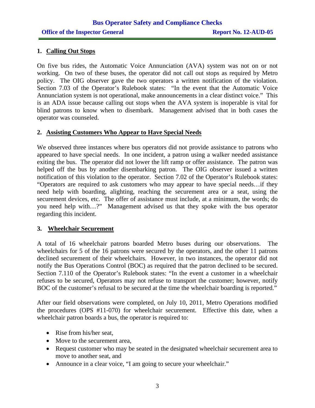#### **1. Calling Out Stops**

On five bus rides, the Automatic Voice Annunciation (AVA) system was not on or not working. On two of these buses, the operator did not call out stops as required by Metro policy. The OIG observer gave the two operators a written notification of the violation. Section 7.03 of the Operator's Rulebook states: "In the event that the Automatic Voice Annunciation system is not operational, make announcements in a clear distinct voice." This is an ADA issue because calling out stops when the AVA system is inoperable is vital for blind patrons to know when to disembark. Management advised that in both cases the operator was counseled.

#### **2. Assisting Customers Who Appear to Have Special Needs**

We observed three instances where bus operators did not provide assistance to patrons who appeared to have special needs. In one incident, a patron using a walker needed assistance exiting the bus. The operator did not lower the lift ramp or offer assistance. The patron was helped off the bus by another disembarking patron. The OIG observer issued a written notification of this violation to the operator. Section 7.02 of the Operator's Rulebook states: "Operators are required to ask customers who may appear to have special needs…if they need help with boarding, alighting, reaching the securement area or a seat, using the securement devices, etc. The offer of assistance must include, at a minimum, the words; do you need help with…?" Management advised us that they spoke with the bus operator regarding this incident.

#### **3. Wheelchair Securement**

A total of 16 wheelchair patrons boarded Metro buses during our observations. The wheelchairs for 5 of the 16 patrons were secured by the operators, and the other 11 patrons declined securement of their wheelchairs. However, in two instances, the operator did not notify the Bus Operations Control (BOC) as required that the patron declined to be secured. Section 7.110 of the Operator's Rulebook states: "In the event a customer in a wheelchair refuses to be secured, Operators may not refuse to transport the customer; however, notify BOC of the customer's refusal to be secured at the time the wheelchair boarding is reported."

After our field observations were completed, on July 10, 2011, Metro Operations modified the procedures (OPS #11-070) for wheelchair securement. Effective this date, when a wheelchair patron boards a bus, the operator is required to:

- Rise from his/her seat,
- Move to the securement area,
- Request customer who may be seated in the designated wheelchair securement area to move to another seat, and
- Announce in a clear voice, "I am going to secure your wheelchair."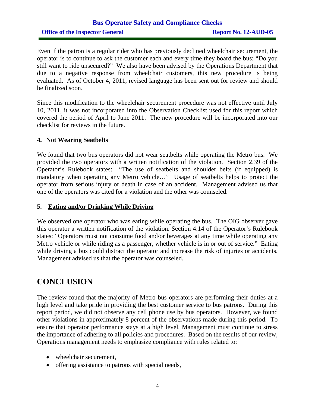## **Bus Operator Safety and Compliance Checks Office of the Inspector General Report No. 12-AUD-05**

Even if the patron is a regular rider who has previously declined wheelchair securement, the operator is to continue to ask the customer each and every time they board the bus: "Do you still want to ride unsecured?" We also have been advised by the Operations Department that due to a negative response from wheelchair customers, this new procedure is being evaluated. As of October 4, 2011, revised language has been sent out for review and should be finalized soon.

Since this modification to the wheelchair securement procedure was not effective until July 10, 2011, it was not incorporated into the Observation Checklist used for this report which covered the period of April to June 2011. The new procedure will be incorporated into our checklist for reviews in the future.

#### **4. Not Wearing Seatbelts**

We found that two bus operators did not wear seatbelts while operating the Metro bus. We provided the two operators with a written notification of the violation. Section 2.39 of the Operator's Rulebook states: "The use of seatbelts and shoulder belts (if equipped) is mandatory when operating any Metro vehicle…" Usage of seatbelts helps to protect the operator from serious injury or death in case of an accident. Management advised us that one of the operators was cited for a violation and the other was counseled.

#### **5. Eating and/or Drinking While Driving**

We observed one operator who was eating while operating the bus. The OIG observer gave this operator a written notification of the violation. Section 4:14 of the Operator's Rulebook states: "Operators must not consume food and/or beverages at any time while operating any Metro vehicle or while riding as a passenger, whether vehicle is in or out of service." Eating while driving a bus could distract the operator and increase the risk of injuries or accidents. Management advised us that the operator was counseled.

## **CONCLUSION**

The review found that the majority of Metro bus operators are performing their duties at a high level and take pride in providing the best customer service to bus patrons. During this report period, we did not observe any cell phone use by bus operators. However, we found other violations in approximately 8 percent of the observations made during this period. To ensure that operator performance stays at a high level, Management must continue to stress the importance of adhering to all policies and procedures. Based on the results of our review, Operations management needs to emphasize compliance with rules related to:

- wheelchair securement,
- offering assistance to patrons with special needs,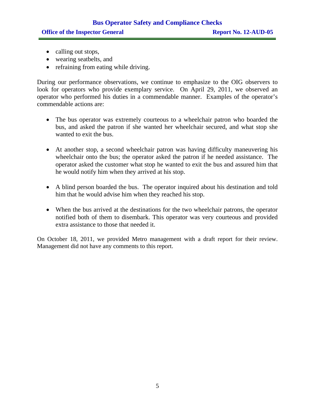## **Bus Operator Safety and Compliance Checks Office of the Inspector General Report No. 12-AUD-05**

- calling out stops,
- wearing seatbelts, and
- refraining from eating while driving.

During our performance observations, we continue to emphasize to the OIG observers to look for operators who provide exemplary service. On April 29, 2011, we observed an operator who performed his duties in a commendable manner. Examples of the operator's commendable actions are:

- The bus operator was extremely courteous to a wheelchair patron who boarded the bus, and asked the patron if she wanted her wheelchair secured, and what stop she wanted to exit the bus.
- At another stop, a second wheelchair patron was having difficulty maneuvering his wheelchair onto the bus; the operator asked the patron if he needed assistance. The operator asked the customer what stop he wanted to exit the bus and assured him that he would notify him when they arrived at his stop.
- A blind person boarded the bus. The operator inquired about his destination and told him that he would advise him when they reached his stop.
- When the bus arrived at the destinations for the two wheelchair patrons, the operator notified both of them to disembark. This operator was very courteous and provided extra assistance to those that needed it.

On October 18, 2011, we provided Metro management with a draft report for their review. Management did not have any comments to this report.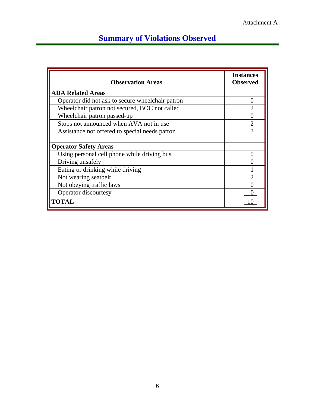## **Summary of Violations Observed**

| <b>Observation Areas</b>                         | <b>Instances</b><br><b>Observed</b> |
|--------------------------------------------------|-------------------------------------|
| <b>ADA Related Areas</b>                         |                                     |
| Operator did not ask to secure wheelchair patron | $\theta$                            |
| Wheelchair patron not secured, BOC not called    |                                     |
| Wheelchair patron passed-up                      | 0                                   |
| Stops not announced when AVA not in use          | $\overline{2}$                      |
| Assistance not offered to special needs patron   | $\mathcal{R}$                       |
| <b>Operator Safety Areas</b>                     |                                     |
| Using personal cell phone while driving bus      | $\mathbf{\Omega}$                   |
| Driving unsafely                                 | 0                                   |
| Eating or drinking while driving                 |                                     |
| Not wearing seatbelt                             | $\mathcal{D}$                       |
| Not obeying traffic laws                         |                                     |
| Operator discourtesy                             |                                     |
| <b>TOTAL</b>                                     |                                     |